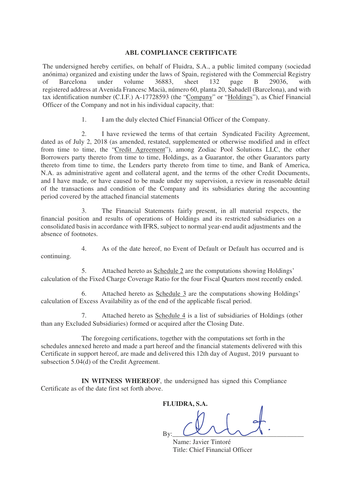# **ABL COMPLIANCE CERTIFICATE**

The undersigned hereby certifies, on behalf of Fluidra, S.A., a public limited company (sociedad anónima) organized and existing under the laws of Spain, registered with the Commercial Registry of Barcelona under volume 36883, sheet 132 page B 29036, with registered address at Avenida Francesc Macià, número 60, planta 20, Sabadell (Barcelona), and with tax identification number (C.I.F.) A-17728593 (the "Company" or "Holdings"), as Chief Financial Officer of the Company and not in his individual capacity, that:

1. I am the duly elected Chief Financial Officer of the Company.

2. I have reviewed the terms of that certain Syndicated Facility Agreement, dated as of July 2, 2018 (as amended, restated, supplemented or otherwise modified and in effect from time to time, the "Credit Agreement"), among Zodiac Pool Solutions LLC, the other Borrowers party thereto from time to time, Holdings, as a Guarantor, the other Guarantors party thereto from time to time, the Lenders party thereto from time to time, and Bank of America, N.A. as administrative agent and collateral agent, and the terms of the other Credit Documents, and I have made, or have caused to be made under my supervision, a review in reasonable detail of the transactions and condition of the Company and its subsidiaries during the accounting period covered by the attached financial statements

7. Attached hereto as Schedule 4 is a list of subsidiaries of Holdings (other than any Excluded Subsidiaries) formed or acquired after the Closing Date.

3. The Financial Statements fairly present, in all material respects, the financial position and results of operations of Holdings and its restricted subsidiaries on a consolidated basis in accordance with IFRS, subject to normal year-end audit adjustments and the absence of footnotes.

4. As of the date hereof, no Event of Default or Default has occurred and is continuing.

5. Attached hereto as Schedule 2 are the computations showing Holdings' calculation of the Fixed Charge Coverage Ratio for the four Fiscal Quarters most recently ended.

6. Attached hereto as Schedule 3 are the computations showing Holdings' calculation of Excess Availability as of the end of the applicable fiscal period.

The foregoing certifications, together with the computations set forth in the schedules annexed hereto and made a part hereof and the financial statements delivered with this Certificate in support hereof, are made and delivered this 12th day of August, 2019 pursuant to subsection 5.04(d) of the Credit Agreement.

**IN WITNESS WHEREOF**, the undersigned has signed this Compliance Certificate as of the date first set forth above.

**FLUIDRA, S.A.**  By:\_\_\_\_\_\_\_\_\_\_\_\_\_\_\_\_\_\_\_\_\_\_\_\_\_\_\_\_\_\_\_\_\_\_\_\_\_\_\_ Name: Javier Tintoré Title: Chief Financial Officer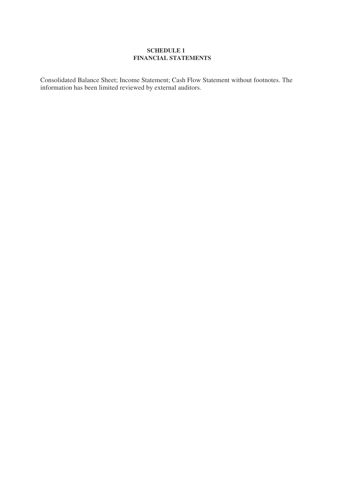## **SCHEDULE 1 FINANCIAL STATEMENTS**

Consolidated Balance Sheet; Income Statement; Cash Flow Statement without footnotes. The information has been limited reviewed by external auditors.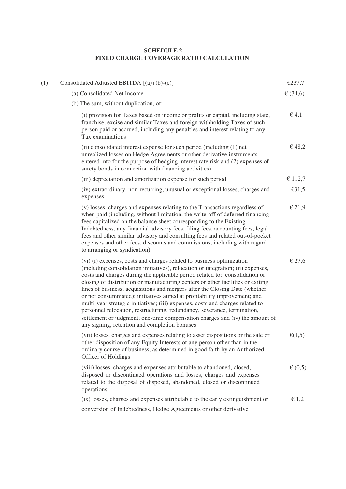#### **SCHEDULE 2 FIXED CHARGE COVERAGE RATIO CALCULATION**

| (1) | Consolidated Adjusted EBITDA $[(a)+(b)-(c)]$                                                                                                                                                                                                                                                                                                                                                                                                                                                                                                                                                                                                                                                                                                                                          | €237,7             |
|-----|---------------------------------------------------------------------------------------------------------------------------------------------------------------------------------------------------------------------------------------------------------------------------------------------------------------------------------------------------------------------------------------------------------------------------------------------------------------------------------------------------------------------------------------------------------------------------------------------------------------------------------------------------------------------------------------------------------------------------------------------------------------------------------------|--------------------|
|     | (a) Consolidated Net Income                                                                                                                                                                                                                                                                                                                                                                                                                                                                                                                                                                                                                                                                                                                                                           | € $(34,6)$         |
|     | (b) The sum, without duplication, of:                                                                                                                                                                                                                                                                                                                                                                                                                                                                                                                                                                                                                                                                                                                                                 |                    |
|     | (i) provision for Taxes based on income or profits or capital, including state,<br>franchise, excise and similar Taxes and foreign withholding Taxes of such<br>person paid or accrued, including any penalties and interest relating to any<br>Tax examinations                                                                                                                                                                                                                                                                                                                                                                                                                                                                                                                      | $\in$ 4,1          |
|     | (ii) consolidated interest expense for such period (including (1) net<br>unrealized losses on Hedge Agreements or other derivative instruments<br>entered into for the purpose of hedging interest rate risk and (2) expenses of<br>surety bonds in connection with financing activities)                                                                                                                                                                                                                                                                                                                                                                                                                                                                                             | € 48,2             |
|     | (iii) depreciation and amortization expense for such period                                                                                                                                                                                                                                                                                                                                                                                                                                                                                                                                                                                                                                                                                                                           | € 112,7            |
|     | (iv) extraordinary, non-recurring, unusual or exceptional losses, charges and<br>expenses                                                                                                                                                                                                                                                                                                                                                                                                                                                                                                                                                                                                                                                                                             | E31,5              |
|     | (v) losses, charges and expenses relating to the Transactions regardless of<br>when paid (including, without limitation, the write-off of deferred financing<br>fees capitalized on the balance sheet corresponding to the Existing<br>Indebtedness, any financial advisory fees, filing fees, accounting fees, legal<br>fees and other similar advisory and consulting fees and related out-of-pocket<br>expenses and other fees, discounts and commissions, including with regard<br>to arranging or syndication)                                                                                                                                                                                                                                                                   | € 21,9             |
|     | (vi) (i) expenses, costs and charges related to business optimization<br>(including consolidation initiatives), relocation or integration; (ii) expenses,<br>costs and charges during the applicable period related to: consolidation or<br>closing of distribution or manufacturing centers or other facilities or exiting<br>lines of business; acquisitions and mergers after the Closing Date (whether<br>or not consummated); initiatives aimed at profitability improvement; and<br>multi-year strategic initiatives; (iii) expenses, costs and charges related to<br>personnel relocation, restructuring, redundancy, severance, termination,<br>settlement or judgment; one-time compensation charges and (iv) the amount of<br>any signing, retention and completion bonuses | € 27,6             |
|     | (vii) losses, charges and expenses relating to asset dispositions or the sale or<br>other disposition of any Equity Interests of any person other than in the<br>ordinary course of business, as determined in good faith by an Authorized<br><b>Officer of Holdings</b>                                                                                                                                                                                                                                                                                                                                                                                                                                                                                                              | $\mathcal{E}(1,5)$ |
|     | (viii) losses, charges and expenses attributable to abandoned, closed,<br>disposed or discontinued operations and losses, charges and expenses<br>related to the disposal of disposed, abandoned, closed or discontinued<br>operations                                                                                                                                                                                                                                                                                                                                                                                                                                                                                                                                                | € $(0,5)$          |

(ix) losses, charges and expenses attributable to the early extinguishment or  $\epsilon$  1,2 conversion of Indebtedness, Hedge Agreements or other derivative

operations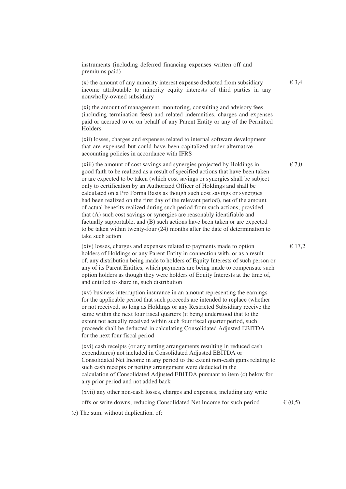instruments (including deferred financing expenses written off and premiums paid)

(x) the amount of any minority interest expense deducted from subsidiary  $\epsilon$  3,4 income attributable to minority equity interests of third parties in any nonwholly-owned subsidiary

(xi) the amount of management, monitoring, consulting and advisory fees (including termination fees) and related indemnities, charges and expenses paid or accrued to or on behalf of any Parent Entity or any of the Permitted Holders

(xii) losses, charges and expenses related to internal software development that are expensed but could have been capitalized under alternative accounting policies in accordance with IFRS

(xiii) the amount of cost savings and synergies projected by Holdings in  $\epsilon$  7,0 good faith to be realized as a result of specified actions that have been taken or are expected to be taken (which cost savings or synergies shall be subject only to certification by an Authorized Officer of Holdings and shall be calculated on a Pro Forma Basis as though such cost savings or synergies had been realized on the first day of the relevant period), net of the amount of actual benefits realized during such period from such actions; provided that (A) such cost savings or synergies are reasonably identifiable and factually supportable, and (B) such actions have been taken or are expected to be taken within twenty-four (24) months after the date of determination to take such action

(xiv) losses, charges and expenses related to payments made to option  $\epsilon$  17,2 holders of Holdings or any Parent Entity in connection with, or as a result of, any distribution being made to holders of Equity Interests of such person or any of its Parent Entities, which payments are being made to compensate such option holders as though they were holders of Equity Interests at the time of, and entitled to share in, such distribution

(xv) business interruption insurance in an amount representing the earnings for the applicable period that such proceeds are intended to replace (whether or not received, so long as Holdings or any Restricted Subsidiary receive the same within the next four fiscal quarters (it being understood that to the extent not actually received within such four fiscal quarter period, such proceeds shall be deducted in calculating Consolidated Adjusted EBITDA for the next four fiscal period

(xvi) cash receipts (or any netting arrangements resulting in reduced cash expenditures) not included in Consolidated Adjusted EBITDA or Consolidated Net Income in any period to the extent non-cash gains relating to such cash receipts or netting arrangement were deducted in the calculation of Consolidated Adjusted EBITDA pursuant to item (c) below for any prior period and not added back

(xvii) any other non-cash losses, charges and expenses, including any write

offs or write downs, reducing Consolidated Net Income for such period  $\epsilon$  (0,5)

(c) The sum, without duplication, of: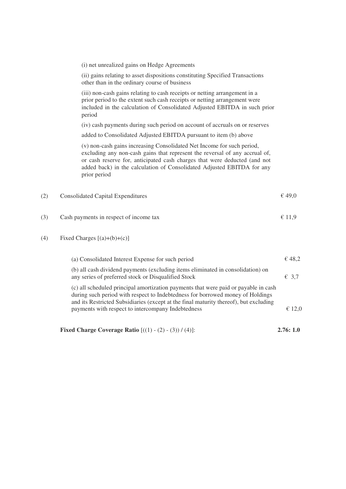|     | <b>Fixed Charge Coverage Ratio</b> $[(1) - (2) - (3)) / (4)]:$                                                                                                                                                                                                                                                               | 2.76:1.0 |
|-----|------------------------------------------------------------------------------------------------------------------------------------------------------------------------------------------------------------------------------------------------------------------------------------------------------------------------------|----------|
|     | (c) all scheduled principal amortization payments that were paid or payable in cash<br>during such period with respect to Indebtedness for borrowed money of Holdings<br>and its Restricted Subsidiaries (except at the final maturity thereof), but excluding<br>payments with respect to intercompany Indebtedness         | € 12,0   |
|     | (b) all cash dividend payments (excluding items eliminated in consolidation) on<br>any series of preferred stock or Disqualified Stock                                                                                                                                                                                       | € 3,7    |
|     | (a) Consolidated Interest Expense for such period                                                                                                                                                                                                                                                                            | € 48,2   |
| (4) | Fixed Charges $[(a)+(b)+(c)]$                                                                                                                                                                                                                                                                                                |          |
| (3) | Cash payments in respect of income tax                                                                                                                                                                                                                                                                                       | € 11,9   |
| (2) | <b>Consolidated Capital Expenditures</b>                                                                                                                                                                                                                                                                                     | € 49,0   |
|     | (v) non-cash gains increasing Consolidated Net Income for such period,<br>excluding any non-cash gains that represent the reversal of any accrual of,<br>or cash reserve for, anticipated cash charges that were deducted (and not<br>added back) in the calculation of Consolidated Adjusted EBITDA for any<br>prior period |          |
|     | added to Consolidated Adjusted EBITDA pursuant to item (b) above                                                                                                                                                                                                                                                             |          |
|     | period<br>(iv) cash payments during such period on account of accruals on or reserves                                                                                                                                                                                                                                        |          |
|     | (iii) non-cash gains relating to cash receipts or netting arrangement in a<br>prior period to the extent such cash receipts or netting arrangement were<br>included in the calculation of Consolidated Adjusted EBITDA in such prior                                                                                         |          |
|     | (ii) gains relating to asset dispositions constituting Specified Transactions<br>other than in the ordinary course of business                                                                                                                                                                                               |          |
|     | (i) net unrealized gains on Hedge Agreements                                                                                                                                                                                                                                                                                 |          |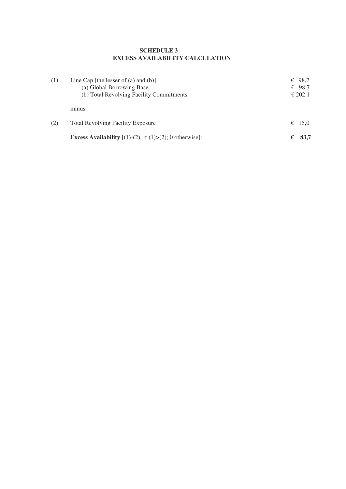#### **SCHEDULE 3 EXCESS AVAILABILITY CALCULATION**

| (1) | Line Cap [the lesser of (a) and $(b)$ ]<br>(a) Global Borrowing Base<br>(b) Total Revolving Facility Commitments | 98,7<br>€<br>€ 98,7<br>€ 202,1 |
|-----|------------------------------------------------------------------------------------------------------------------|--------------------------------|
|     | minus                                                                                                            |                                |
| (2) | <b>Total Revolving Facility Exposure</b>                                                                         | € 15,0                         |
|     | <b>Excess Availability</b> $[(1)-(2),$ if $(1)>(2)$ ; 0 otherwise]:                                              | 83,7<br>€                      |